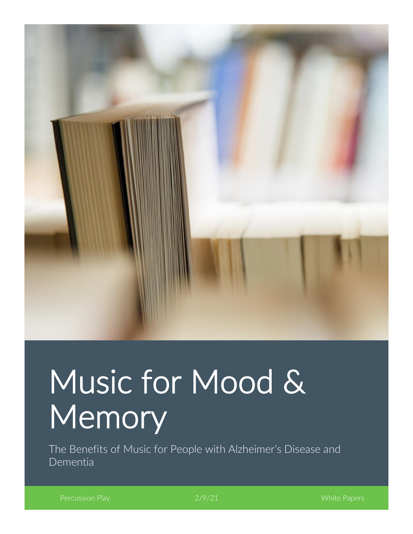

# Music for Mood & Memory

The Benefits of Music for People with Alzheimer's Disease and Dementia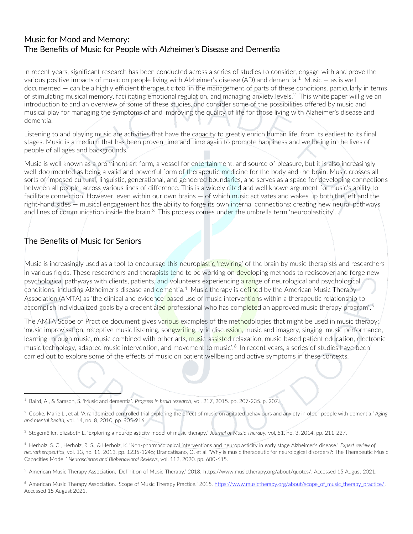#### Music for Mood and Memory: The Benefits of Music for People with Alzheimer's Disease and Dementia

In recent years, significant research has been conducted across a series of studies to consider, engage with and prove the various positive impacts of music on people living with Alzheimer's disease (AD) and dementia.<sup>1</sup> Music  $-$  as is well documented — can be a highly efficient therapeutic tool in the management of parts of these conditions, particularly in terms of stimulating musical memory, facilitating emotional regulation, and managing anxiety levels.<sup>2</sup> This white paper will give an introduction to and an overview of some of these studies, and consider some of the possibilities offered by music and musical play for managing the symptoms of and improving the quality of life for those living with Alzheimer's disease and dementia.

Listening to and playing music are activities that have the capacity to greatly enrich human life, from its earliest to its final stages. Music is a medium that has been proven time and time again to promote happiness and wellbeing in the lives of people of all ages and backgrounds.

Music is well known as a prominent art form, a vessel for entertainment, and source of pleasure, but it is also increasingly well-documented as being a valid and powerful form of therapeutic medicine for the body and the brain. Music crosses all sorts of imposed cultural, linguistic, generational, and gendered boundaries, and serves as a space for developing connections between all people, across various lines of difference. This is a widely cited and well known argument for music's ability to facilitate connection. However, even within our own brains — of which music activates and wakes up both the left and the right-hand sides — musical engagement has the ability to forge its own internal connections: creating new neural pathways and lines of communication inside the brain.<sup>3</sup> This process comes under the umbrella term 'neuroplasticity'.

## The Benefits of Music for Seniors

Music is increasingly used as a tool to encourage this neuroplastic 'rewiring' of the brain by music therapists and researchers in various fields. These researchers and therapists tend to be working on developing methods to rediscover and forge new psychological pathways with clients, patients, and volunteers experiencing a range of neurological and psychological conditions, including Alzheimer's disease and dementia.<sup>4</sup> Music therapy is defined by the American Music Therapy Association (AMTA) as 'the clinical and evidence-based use of music interventions within a therapeutic relationship to accomplish individualized goals by a credentiale<mark>d pr</mark>ofessional who has comp<mark>lete</mark>d an approved music therapy program'.<sup>5</sup>

The AMTA Scope of Practice document gives various examples of the methodologies that might be used in music therapy: 'music improvisation, receptive music listening, songwriting, lyric discussion, music and imagery, singing, music performance, learning through music, music combined with other arts, music-assisted relaxation, music-based patient education, electronic music technology, adapted music intervention, and movement to music'.<sup>6</sup> In recent years, a series of studies have been carried out to explore some of the effects of music on patient wellbeing and active symptoms in these contexts.

<sup>1</sup> Baird, A., & Samson, S. 'Music and dementia'. *Progress in brain research*, vol. 217, 2015. pp. 207-235. p. 207.

<sup>2</sup> Cooke, Marie L., et al. 'A randomized controlled trial exploring the effect of music on agitated behaviours and anxiety in older people with dementia.' *Aging and mental health,* vol. 14, no. 8, 2010. pp. 905-916.

<sup>3</sup> Stegemöller, Elizabeth L. 'Exploring a neuroplasticity model of music therapy.' *Journal of Music Therapy,* vol. 51, no. 3, 2014. pp. 211-227.

<sup>4</sup> Herholz, S. C., Herholz, R. S., & Herholz, K. 'Non-pharmacological interventions and neuroplasticity in early stage Alzheimer's disease.' *Expert review of neurotherapeutics*, vol. 13, no. 11, 2013. pp. 1235-1245; Brancatisano, O. et al. 'Why is music therapeutic for neurological disorders?: The Therapeutic Music Capacities Model.' *Neuroscience and Biobehavioral Reviews*, vol. 112, 2020. pp. 600-615.

<sup>5</sup> American Music Therapy Association. 'Definition of Music Therapy.' 2018. [https://www.musictherapy.org/about/quotes/.](https://www.musictherapy.org/about/quotes/) Accessed 15 August 2021.

<sup>&</sup>lt;sup>6</sup> American Music Therapy Association. 'Scope of Music Therapy Practice.' 2015. [https://www.musictherapy.org/about/scope\\_of\\_music\\_therapy\\_practice/.](https://www.musictherapy.org/about/scope_of_music_therapy_practice/) Accessed 15 August 2021.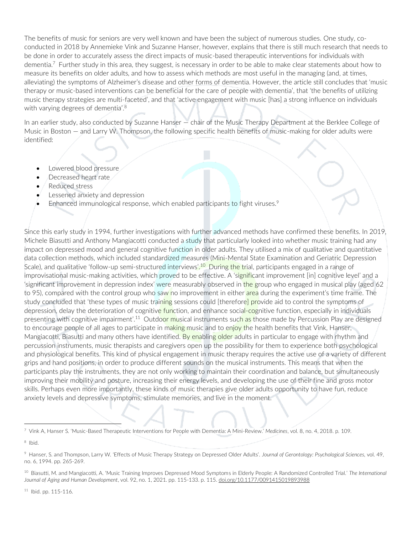The benefits of music for seniors are very well known and have been the subject of numerous studies. One study, coconducted in 2018 by Annemieke Vink and Suzanne Hanser, however, explains that there is still much research that needs to be done in order to accurately assess the direct impacts of music-based therapeutic interventions for individuals with dementia.<sup>7</sup> Further study in this area, they suggest, is necessary in order to be able to make clear statements about how to measure its benefits on older adults, and how to assess which methods are most useful in the managing (and, at times, alleviating) the symptoms of Alzheimer's disease and other forms of dementia. However, the article still concludes that 'music therapy or music-based interventions can be beneficial for the care of people with dementia', that 'the benefits of utilizing music therapy strategies are multi-faceted', and that 'active engagement with music [has] a strong influence on individuals with varying degrees of dementia<sup>'.8</sup>

In an earlier study, also conducted by Suzanne Hanser — chair of the Music Therapy Department at the Berklee College of Music in Boston — and Larry W. Thompson, the following specific health benefits of music-making for older adults were identified:

- Lowered blood pressure
- Decreased heart rate
- Reduced stress
- Lessened anxiety and depression
- Enhanced immunological response, which enabled participants to fight viruses.<sup>9</sup>

Since this early study in 1994, further investigations with further advanced methods have confirmed these benefits. In 2019, Michele Biasutti and Anthony Mangiacotti conducted a study that particularly looked into whether music training had any impact on depressed mood and general cognitive function in older adults. They utilised a mix of qualitative and quantitative data collection methods, which included standardized measures (Mini-Mental State Examination and Geriatric Depression Scale), and qualitative 'follow-up semi-structured interviews'.<sup>10</sup> During the trial, participants engaged in a range of improvisational music-making activities, which proved to be effective. A 'significant improvement [in] cognitive level' and a 'significant improvement in depression index' were measurably observed in the group who engaged in musical play (aged 62 to 95), compared with the control group who saw no improvement in either area during the experiment's time frame. The study concluded that 'these types of music training sessions could [therefore] provide aid to control the symptoms of depression, delay the deterioration of cognitive function, and enhance social-cognitive function, especially in individuals presenting with cognitive impairment'.<sup>11</sup> Outdoor musical instruments such as those made by Percussion Play are designed to encourage people of all ages to participate in making music and to enjoy the health benefits that Vink, Hanser, Mangiacotti, Biasutti and many others have identified. By enabling older adults in particular to engage with rhythm and percussion instruments, music therapists and caregivers open up the possibility for them to experience both psychological and physiological benefits. This kind of physical engagement in music therapy requires the active use of a variety of different grips and hand positions, in order to produce different sounds on the musical instruments. This means that when the participants play the instruments, they are not only working to maintain their coordination and balance, but simultaneously improving their mobility and posture, increasing their energy levels, and developing the use of their fine and gross motor skills. Perhaps even more importantly, these kinds of music therapies give older adults opportunity to have fun, reduce anxiety levels and depressive symptoms, stimulate memories, and live in the moment.

 $11$  Ibid. pp. 115-116.

<sup>7</sup> Vink A, Hanser S. 'Music-Based Therapeutic Interventions for People with Dementia: A Mini-Review.' *Medicines*, vol. 8, no. 4, 2018. p. 109.

<sup>&</sup>lt;sup>8</sup> Ibid.

<sup>9</sup> Hanser, S. and Thompson, Larry W. 'Effects of Music Therapy Strategy on Depressed Older Adults'. *Journal of Gerontology: Psychological Sciences,* vol. 49, no. 6, 1994. pp. 265-269.

<sup>10</sup> Biasutti, M. and Mangiacotti, A. 'Music Training Improves Depressed Mood Symptoms in Elderly People: A Randomized Controlled Trial.' *The International Journal of Aging and Human Development*, vol. 92, no. 1, 2021. pp. 115-133. p. 115[. doi.org/10.1177/0091415019893988](https://doi.org/10.1177%2F0091415019893988)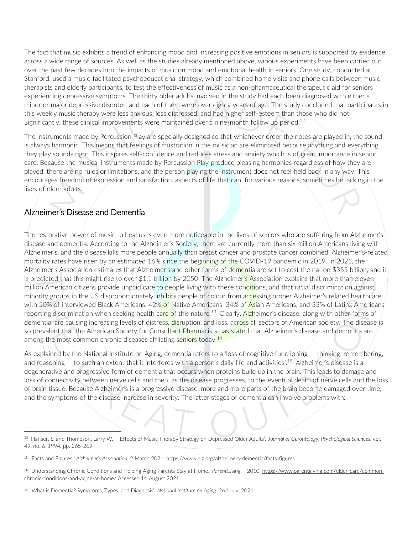The fact that music exhibits a trend of enhancing mood and increasing positive emotions in seniors is supported by evidence across a wide range of sources. As well as the studies already mentioned above, various experiments have been carried out over the past few decades into the impacts of music on mood and emotional health in seniors. One study, conducted at Stanford, used a music-facilitated psychoeducational strategy, which combined home visits and phone calls between music therapists and elderly participants, to test the effectiveness of music as a non-pharmaceutical therapeutic aid for seniors experiencing depressive symptoms. The thirty older adults involved in the study had each been diagnosed with either a minor or major depressive disorder, and each of them were over eighty years of age. The study concluded that participants in this weekly music therapy were less anxious, less distressed, and had higher self-esteem than those who did not. Significantly, these clinical improvements were maintained over a nine-month follow up period.<sup>12</sup>

The instruments made by Percussion Play are specially designed so that whichever order the notes are played in, the sound is always harmonic. This means that feelings of frustration in the musician are eliminated because anything and everything they play sounds right. This inspires self-confidence and reduces stress and anxiety which is of great importance in senior care. Because the musical instruments made by Percussion Play produce pleasing harmonies regardless of how they are played, there are no rules or limitations, and the person playing the instrument does not feel held back in any way. This encourages freedom of expression and satisfaction, aspects of life that can, for various reasons, sometimes be lacking in the lives of older adults.

## Alzheimer's Disease and Dementia

The restorative power of music to heal us is even more noticeable in the lives of seniors who are suffering from Alzheimer's disease and dementia. According to the Alzheimer's Society, there are currently more than six million Americans living with Alzheimer's, and the disease kills more people annually than breast cancer and prostate cancer combined. Alzheimer's-related mortality rates have risen by an estimated 16% since the beginning of the COVID-19 pandemic in 2019. In 2021, the Alzheimer's Association estimates that Alzheimer's and other forms of dementia are set to cost the nation \$355 billion, and it is predicted that this might rise to over \$1.1 trillion by 2050. The Alzheimer's Association explains that more than eleven million American citizens provide unpaid care to people living with these conditions, and that racial discrimination against minority groups in the US disproportionately inhibits people of colour from accessing proper Alzheimer's related healthcare, with 50% of interviewed Black Americans, 42% of Native Americans, 34% of Asian Americans, and 33% of Latinx Americans reporting discrimination when seeking health care of this nature.<sup>13</sup> Clearly, Alzheimer's disease, along with other forms of dementia, are causing increasing levels of distress, disruption, and loss, across all sectors of American society. The disease is so prevalent that the American Society for Consultant Pharmacists has stated that Alzheimer's disease and dementia are among the most common chronic diseases afflicting seniors today.<sup>14</sup>

As explained by the National Institute on Aging, dementia refers to a 'loss of cognitive functioning — thinking, remembering, and reasoning – to such an extent that it interferes with a person's daily life and activities'.<sup>15</sup> Alzheimer's disease is a degenerative and progressive form of dementia that occurs when proteins build up in the brain. This leads to damage and loss of connectivity between nerve cells and then, as the disease progresses, to the eventual death of nerve cells and the loss of brain tissue. Because Alzheimer's is a progressive disease, more and more parts of the brain become damaged over time, and the symptoms of the disease increase in severity. The latter stages of dementia can involve problems with:

<sup>12</sup> Hanser, S. and Thompson, Larry W. 'Effects of Music Therapy Strategy on Depressed Older Adults'. *Journal of Gerontology: Psychological Sciences,* vol. 49, no. 6, 1994. pp. 265-269.

<sup>13</sup> 'Facts and Figures.' *Alzheimer's Association.* 2 March 2021[. https://www.alz.org/alzheimers-dementia/facts-figures](https://www.alz.org/alzheimers-dementia/facts-figures)

<sup>14</sup> 'Understanding Chronic Conditions and Helping Aging Parents Stay at Home.' *ParentGiving*, 2010[. https://www.parentgiving.com/elder-care/common](https://www.parentgiving.com/elder-care/common-chronic-conditions-and-aging-at-home/)[chronic-conditions-and-aging-at-home/](https://www.parentgiving.com/elder-care/common-chronic-conditions-and-aging-at-home/) Accessed 14 August 2021.

<sup>15</sup> 'What is Dementia? Symptoms, Types, and Diagnosis'*. National Institute on Aging*, 2nd July, 2021.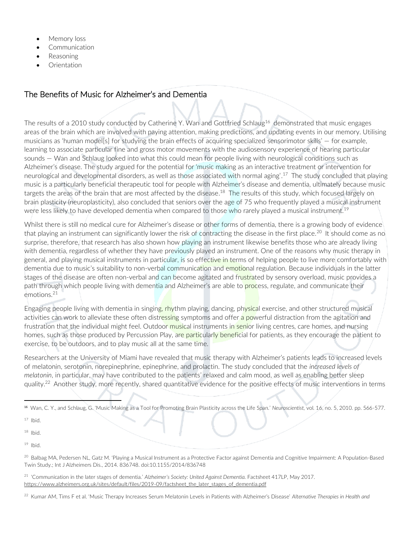- Memory loss
- **Communication**
- Reasoning
- **Orientation**

#### The Benefits of Music for Alzheimer's and Dementia

The results of a 2010 study conducted by Catherine Y. Wan and Gottfried Schlaug<sup>16</sup> demonstrated that music engages areas of the brain which are involved with paying attention, making predictions, and updating events in our memory. Utilising musicians as 'human model[s] for studying the brain effects of acquiring specialized sensorimotor skills' — for example, learning to associate particular fine and gross motor movements with the audiosensory experience of hearing particular sounds — Wan and Schlaug looked into what this could mean for people living with neurological conditions such as Alzheimer's disease. The study argued for the potential for 'music making as an interactive treatment or intervention for neurological and developmental disorders, as well as those associated with normal aging'.<sup>17</sup> The study concluded that playing music is a particularly beneficial therapeutic tool for people with Alzheimer's disease and dementia, ultimately because music targets the areas of the brain that are most affected by the disease.<sup>18</sup> The results of this study, which focused largely on brain plasticity (neuroplasticity), also concluded that seniors over the age of 75 who frequently played a musical instrument were less likely to have developed dementia when compared to those who rarely played a musical instrument.<sup>19</sup>

Whilst there is still no medical cure for Alzheimer's disease or other forms of dementia, there is a growing body of evidence that playing an instrument can significantly lower the risk of contracting the disease in the first place.<sup>20</sup> It should come as no surprise, therefore, that research has also shown how playing an instrument likewise benefits those who are already living with dementia, regardless of whether they have previously played an instrument. One of the reasons why music therapy in general, and playing musical instruments in particular, is so effective in terms of helping people to live more comfortably with dementia due to music's suitability to non-verbal communication and emotional regulation. Because individuals in the latter stages of the disease are often non-verbal and can become agitated and frustrated by sensory overload, music provides a path through which people living with dementia and Alzheimer's are able to process, regulate, and communicate their emotions.<sup>21</sup>

Engaging people living with dementia in singing, rhythm playing, dancing, physical exercise, and other structured musical activities can work to alleviate these often distressing symptoms and offer a powerful distraction from the agitation and frustration that the individual might feel. Outdoor musical instruments in senior living centres, care homes, and nursing homes, such as those produced by Percussion Play, are particularly beneficial for patients, as they encourage the patient to exercise, to be outdoors, and to play music all at the same time.

Researchers at the University of Miami have revealed that music therapy with Alzheimer's patients leads to increased levels of melatonin, serotonin, norepinephrine, epinephrine, and prolactin. The study concluded that the *increased levels of melatonin*, in particular, may have contributed to the patients' relaxed and calm mood, as well as enabling better sleep quality.<sup>22</sup> Another study, more recently, shared quantitative evidence for the positive effects of music interventions in terms

 $17$  Ibid.

 $18$  Ibid.

 $19$  Ibid.

<sup>20</sup> Balbag MA, Pedersen NL, Gatz M. 'Playing a Musical Instrument as a Protective Factor against Dementia and Cognitive Impairment: A Population-Based Twin Study.; Int J Alzheimers Dis., 2014. 836748. doi:10.1155/2014/836748

<sup>21</sup> 'Communication in the later stages of dementia.' *Alzheimer's Society: United Against Dementia.* Factsheet 417LP, May 2017. [https://www.alzheimers.org.uk/sites/default/files/2019-09/factsheet\\_the\\_later\\_stages\\_of\\_dementia.pdf](https://www.alzheimers.org.uk/sites/default/files/2019-09/factsheet_the_later_stages_of_dementia.pdf)

<sup>22</sup> Kumar AM, Tims F et al. 'Music Therapy Increases Serum Melatonin Levels in Patients with Alzheimer's Disease' *Alternative Therapies in Health and* 

<sup>16</sup> Wan, C. Y., and Schlaug, G. 'Music Making as a Tool for Promoting Brain Plasticity across the Life Span.' *Neuroscientist,* vol. 16, no. 5, 2010. pp. 566-577.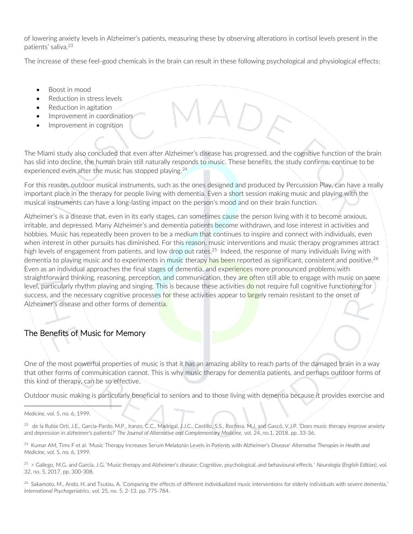of lowering anxiety levels in Alzheimer's patients, measuring these by observing alterations in cortisol levels present in the patients' saliva.<sup>23</sup>

The increase of these feel-good chemicals in the brain can result in these following psychological and physiological effects:

- Boost in mood
- Reduction in stress levels
- Reduction in agitation
- Improvement in coordination
- Improvement in cognition

The Miami study also concluded that even after Alzheimer's disease has progressed, and the cognitive function of the brain has slid into decline, the human brain still naturally responds to music. These benefits, the study confirms, continue to be experienced even after the music has stopped playing.<sup>24</sup>

For this reason, outdoor musical instruments, such as the ones designed and produced by Percussion Play, can have a really important place in the therapy for people living with dementia. Even a short session making music and playing with the musical instruments can have a long-lasting impact on the person's mood and on their brain function.

Alzheimer's is a disease that, even in its early stages, can sometimes cause the person living with it to become anxious, irritable, and depressed. Many Alzheimer's and dementia patients become withdrawn, and lose interest in activities and hobbies. Music has repeatedly been proven to be a medium that continues to inspire and connect with individuals, even when interest in other pursuits has diminished. For this reason, music interventions and music therapy programmes attract high levels of engagement from patients, and low drop out rates.<sup>25</sup> Indeed, the response of many individuals living with dementia to playing music and to experiments in music therapy has been reported as significant, consistent and positive.<sup>26</sup> Even as an individual approaches the final stages of dementia, and experiences more pronounced problems with straightforward thinking, reasoning, perception, and communication, they are often still able to engage with music on some level, particularly rhythm playing and singing. This is because these activities do not require full cognitive functioning for success, and the necessary cognitive processes for these activities appear to largely remain resistant to the onset of Alzheimer's disease and other forms of dementia.

# The Benefits of Music for Memory

One of the most powerful properties of music is that it has an amazing ability to reach parts of the damaged brain in a way that other forms of communication cannot. This is why music therapy for dementia patients, and perhaps outdoor forms of this kind of therapy, can be so effective.

Outdoor music making is particularly beneficial to seniors and to those living with dementia because it provides exercise and

*Medicine*, vol. 5, no. 6, 1999.

<sup>23</sup> de la Rubia Ortí, J.E., García-Pardo, M.P., Iranzo, C.C., Madrigal, J.J.C., Castillo, S.S., Rochina, M.J. and Gascó, V.J.P. 'Does music therapy improve anxiety and depression in alzheimer's patients?' *The Journal of Alternative and Complementary Medicine,* vol. 24, no.1, 2018. pp. 33-36.

<sup>24</sup> Kumar AM, Tims F et al. 'Music Therapy Increases Serum Melatonin Levels in Patients with Alzheimer's Disease' *Alternative Therapies in Health and Medicine*, vol. 5, no. 6, 1999.

<sup>25</sup> > Gallego, M.G. and García, J.G. 'Music therapy and Alzheimer's disease: Cognitive, psychological, and behavioural effects.' *Neurología (English Edition),* vol. 32, no. 5, 2017. pp. 300-308.

<sup>26</sup> Sakamoto, M., Ando, H. and Tsutou, A. 'Comparing the effects of different individualized music interventions for elderly individuals with severe dementia.' *International Psychogeriatrics*, vol. 25, no. 5, 2-13. pp. 775-784.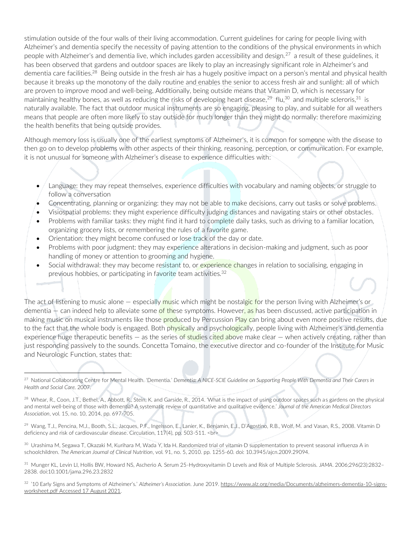stimulation outside of the four walls of their living accommodation. Current guidelines for caring for people living with Alzheimer's and dementia specify the necessity of paying attention to the conditions of the physical environments in which people with Alzheimer's and dementia live, which includes garden accessibility and design.<sup>27</sup> a result of these guidelines, it has been observed that gardens and outdoor spaces are likely to play an increasingly significant role in Alzheimer's and dementia care facilities.<sup>28</sup> Being outside in the fresh air has a hugely positive impact on a person's mental and physical health because it breaks up the monotony of the daily routine and enables the senior to access fresh air and sunlight: all of which are proven to improve mood and well-being. Additionally, being outside means that Vitamin D, which is necessary for maintaining healthy bones, as well as reducing the risks of developing heart disease, $^{29}$  flu, $^{30}$  and multiple scleroris, $^{31}$  is naturally available. The fact that outdoor musical instruments are so engaging, pleasing to play, and suitable for all weathers means that people are often more likely to stay outside for much longer than they might do normally: therefore maximizing the health benefits that being outside provides.

Although memory loss is usually one of the earliest symptoms of Alzheimer's, it is common for someone with the disease to then go on to develop problems with other aspects of their thinking, reasoning, perception, or communication. For example, it is not unusual for someone with Alzheimer's disease to experience difficulties with:

- Language: they may repeat themselves, experience difficulties with vocabulary and naming objects, or struggle to follow a conversation
- Concentrating, planning or organizing: they may not be able to make decisions, carry out tasks or solve problems.
- Visiospatial problems: they might experience difficulty judging distances and navigating stairs or other obstacles.
- Problems with familiar tasks: they might find it hard to complete daily tasks, such as driving to a familiar location, organizing grocery lists, or remembering the rules of a favorite game.
- Orientation: they might become confused or lose track of the day or date.
- Problems with poor judgment: they may experience alterations in decision-making and judgment, such as poor handling of money or attention to grooming and hygiene.
- Social withdrawal: they may become resistant to, or experience changes in relation to socialising, engaging in previous hobbies, or participating in favorite team activities.<sup>32</sup>

The act of listening to music alone — especially music which might be nostalgic for the person living with Alzheimer's or dementia – can indeed help to alleviate some of these symptoms. However, as has been discussed, active participation in making music on musical instruments like those produced by Percussion Play can bring about even more positive results, due to the fact that the whole body is engaged. Both physically and psychologically, people living with Alzheimer's and dementia experience huge therapeutic benefits  $-$  as the series of studies cited above make clear  $-$  when actively creating, rather than just responding passively to the sounds. Concetta Tomaino, the executive director and co-founder of the Institute for Music and Neurologic Function, states that:

<sup>27</sup> National Collaborating Centre for Mental Health. 'Dementia.' *Dementia: A NICE-SCIE Guideline on Supporting People With Dementia and Their Carers in Health and Social Care.* 2007.

<sup>28</sup> Whear, R., Coon, J.T., Bethel, A., Abbott, R., Stein, K. and Garside, R., 2014. 'What is the impact of using outdoor spaces such as gardens on the physical and mental well-being of those with dementia? A systematic review of quantitative and qualitative evidence.' *Journal of the American Medical Directors Association*, vol. 15, no. 10, 2014. pp. 697-705.

<sup>29</sup> Wang, T.J., Pencina, M.J., Booth, S.L., Jacques, P.F., Ingelsson, E., Lanier, K., Benjamin, E.J., D'Agostino, R.B., Wolf, M. and Vasan, R.S., 2008. Vitamin D deficiency and risk of cardiovascular disease. Circulation, 117(4), pp. 503-511. <br>

<sup>30</sup> Urashima M, Segawa T, Okazaki M, Kurihara M, Wada Y, Ida H. Randomized trial of vitamin D supplementation to prevent seasonal influenza A in schoolchildren. *The American Journal of Clinical Nutrition*, vol. 91, no. 5, 2010. pp. 1255-60. doi: 10.3945/ajcn.2009.29094.

<sup>31</sup> Munger KL, Levin LI, Hollis BW, Howard NS, Ascherio A. Serum 25-Hydroxyvitamin D Levels and Risk of Multiple Sclerosis. *JAMA*. 2006;296(23):2832– 2838. doi:10.1001/jama.296.23.2832

<sup>32</sup> '10 Early Signs and Symptoms of Alzheimer's.' *Alzheimer's Association.* June 2019[. https://www.alz.org/media/Documents/alzheimers-dementia-10-signs](https://www.alz.org/media/Documents/alzheimers-dementia-10-signs-worksheet.pdf%20Accessed%2017%20August%202021)[worksheet.pdf Accessed 17 August 2021.](https://www.alz.org/media/Documents/alzheimers-dementia-10-signs-worksheet.pdf%20Accessed%2017%20August%202021)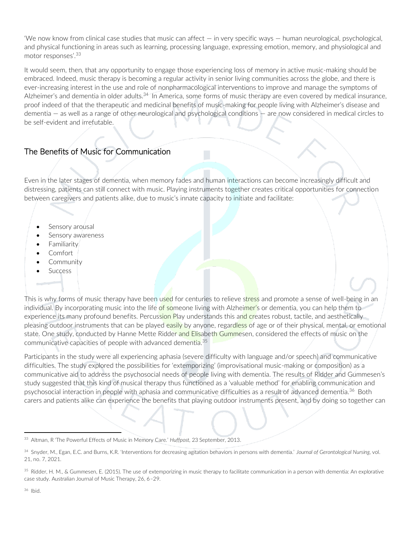'We now know from clinical case studies that music can affect — in very specific ways — human neurological, psychological, and physical functioning in areas such as learning, processing language, expressing emotion, memory, and physiological and motor responses'.<sup>33</sup>

It would seem, then, that any opportunity to engage those experiencing loss of memory in active music-making should be embraced. Indeed, music therapy is becoming a regular activity in senior living communities across the globe, and there is ever-increasing interest in the use and role of nonpharmacological interventions to improve and manage the symptoms of Alzheimer's and dementia in older adults.<sup>34</sup> In America, some forms of music therapy are even covered by medical insurance, proof indeed of that the therapeutic and medicinal benefits of music-making for people living with Alzheimer's disease and dementia — as well as a range of other neurological and psychological conditions — are now considered in medical circles to be self-evident and irrefutable.

# The Benefits of Music for Communication

Even in the later stages of dementia, when memory fades and human interactions can become increasingly difficult and distressing, patients can still connect with music. Playing instruments together creates critical opportunities for connection between caregivers and patients alike, due to music's innate capacity to initiate and facilitate:

- Sensory arousal
- Sensory awareness
- **Familiarity**
- Comfort
- **Community**
- **Success**

This is why forms of music therapy have been used for centuries to relieve stress and promote a sense of well-being in an individual. By incorporating music into the life of someone living with Alzheimer's or dementia, you can help them to experience its many profound benefits. Percussion Play understands this and creates robust, tactile, and aesthetically pleasing outdoor instruments that can be played easily by anyone, regardless of age or of their physical, mental, or emotional state. One study, conducted by Hanne Mette Ridder and Elisabeth Gummesen, considered the effects of music on the communicative capacities of people with advanced dementia.<sup>35</sup>

Participants in the study were all experiencing aphasia (severe difficulty with language and/or speech) and communicative difficulties. The study explored the possibilities for 'extemporizing' (improvisational music-making or composition) as a communicative aid to address the psychosocial needs of people living with dementia. The results of Ridder and Gummesen's study suggested that this kind of musical therapy thus functioned as a 'valuable method' for enabling communication and psychosocial interaction in people with aphasia and communicative difficulties as a result of advanced dementia.<sup>36</sup> Both carers and patients alike can experience the benefits that playing outdoor instruments present, and by doing so together can

<sup>33</sup> Altman, R 'The Powerful Effects of Music in Memory Care.' *Huffpost,* 23 September, 2013.

<sup>34</sup> Snyder, M., Egan, E.C. and Burns, K.R. 'Interventions for decreasing agitation behaviors in persons with dementia.' *Journal of Gerontological Nursing,* vol. 21, no. 7, 2021.

<sup>&</sup>lt;sup>35</sup> Ridder, H. M., & Gummesen, E. (2015). The use of extemporizing in music therapy to facilitate communication in a person with dementia: An explorative case study. Australian Journal of Music Therapy, 26, 6–29.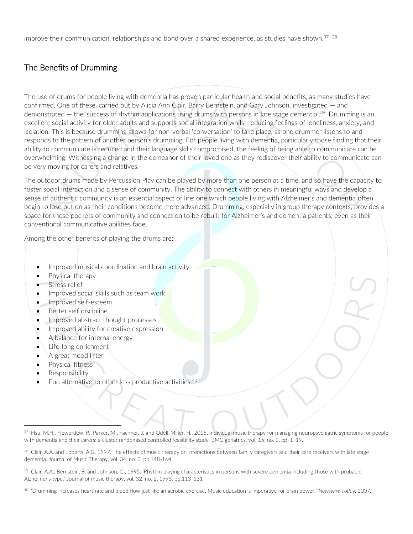improve their communication, relationships and bond over a shared experience, as studies have shown. $37 \frac{38}{12}$ 

## The Benefits of Drumming

The use of drums for people living with dementia has proven particular health and social benefits, as many studies have confirmed. One of these, carried out by Alicia Ann Clair, Barry Bernstein, and Gary Johnson, investigated — and demonstrated  $-$  the 'success of rhythm applications using drums with persons in late stage dementia'.<sup>39</sup> Drumming is an excellent social activity for older adults and supports social integration whilst reducing feelings of loneliness, anxiety, and isolation. This is because drumming allows for non-verbal 'conversation' to take place, as one drummer listens to and responds to the pattern of another person's drumming. For people living with dementia, particularly those finding that their ability to communicate is reduced and their language skills compromised, the feeling of being able to communicate can be overwhelming. Witnessing a change in the demeanor of their loved one as they rediscover their ability to communicate can be very moving for carers and relatives.

The outdoor drums made by Percussion Play can be played by more than one person at a time, and so have the capacity to foster social interaction and a sense of community. The ability to connect with others in meaningful ways and develop a sense of authentic community is an essential aspect of life: one which people living with Alzheimer's and dementia often begin to lose out on as their conditions become more advanced. Drumming, especially in group therapy contexts, provides a space for these pockets of community and connection to be rebuilt for Alzheimer's and dementia patients, even as their conventional communicative abilities fade.

Among the other benefits of playing the drums are:

- Improved musical coordination and brain activity
- Physical therapy
- Stress relief
- Improved social skills such as team work
- Improved self-esteem
- Better self discipline
- Improved abstract thought processes
- Improved ability for creative expression
- A balance for internal energy
- Life-long enrichment
- A great mood lifter
- Physical fitness
- Responsibility
- Fun alternative to other less productive activities.<sup>40</sup>

<sup>37</sup> Hsu, M.H., Flowerdew, R., Parker, M., Fachner, J. and Odell-Miller, H., 2015. Individual music therapy for managing neuropsychiatric symptoms for people with dementia and their carers: a cluster randomised controlled feasibility study. BMC geriatrics, vol. 15, no. 1, pp. 1-19.

<sup>&</sup>lt;sup>38</sup> Clair, A.A. and Ebberts, A.G. 1997. The effects of music therapy on interactions between family caregivers and their care receivers with late stage dementia. Journal of Music Therapy, vol. 34, no. 3, pp.148-164.

<sup>&</sup>lt;sup>39</sup> Clair, A.A., Bernstein, B. and Johnson, G., 1995. 'Rhythm playing characteristics in persons with severe dementia including those with probable Alzheimer's type.' Journal of music therapy, vol. 32, no. 2, 1995. pp.113-131

<sup>40</sup> 'Drumming increases heart rate and blood flow just like an aerobic exercise. Music education is imperative for brain power.' *Newswire Today,* 2007.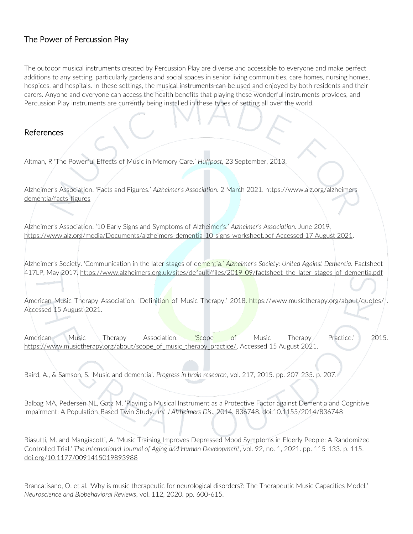#### The Power of Percussion Play

The outdoor musical instruments created by Percussion Play are diverse and accessible to everyone and make perfect additions to any setting, particularly gardens and social spaces in senior living communities, care homes, nursing homes, hospices, and hospitals. In these settings, the musical instruments can be used and enjoyed by both residents and their carers. Anyone and everyone can access the health benefits that playing these wonderful instruments provides, and Percussion Play instruments are currently being installed in these types of setting all over the world.

#### References

Altman, R 'The Powerful Effects of Music in Memory Care.' *Huffpost,* 23 September, 2013.

Alzheimer's Association. 'Facts and Figures.' *Alzheimer's Association.* 2 March 2021. [https://www.alz.org/alzheimers](https://www.alz.org/alzheimers-dementia/facts-figures)[dementia/facts-figures](https://www.alz.org/alzheimers-dementia/facts-figures)

Alzheimer's Association. '10 Early Signs and Symptoms of Alzheimer's.' *Alzheimer's Association.* June 2019. [https://www.alz.org/media/Documents/alzheimers-dementia-10-signs-worksheet.pdf Accessed 17 August 2021.](https://www.alz.org/media/Documents/alzheimers-dementia-10-signs-worksheet.pdf%20Accessed%2017%20August%202021)

Alzheimer's Society. 'Communication in the later stages of dementia.' *Alzheimer's Society: United Against Dementia.* Factsheet 417LP, May 2017. [https://www.alzheimers.org.uk/sites/default/files/2019-09/factsheet\\_the\\_later\\_stages\\_of\\_dementia.pdf](https://www.alzheimers.org.uk/sites/default/files/2019-09/factsheet_the_later_stages_of_dementia.pdf)

American Music Therapy Association. 'Definition of Music Therapy.' 2018. <https://www.musictherapy.org/about/quotes/>. Accessed 15 August 2021.

American Music Therapy Association. 'Scope of Music Therapy Practice.' 2015. [https://www.musictherapy.org/about/scope\\_of\\_music\\_therapy\\_practice/.](https://www.musictherapy.org/about/scope_of_music_therapy_practice/) Accessed 15 August 2021.

Baird, A., & Samson, S. 'Music and dementia'. *Progress in brain research*, vol. 217, 2015. pp. 207-235. p. 207.

Balbag MA, Pedersen NL, Gatz M. 'Playing a Musical Instrument as a Protective Factor against Dementia and Cognitive Impairment: A Population-Based Twin Study.; *Int J Alzheimers Dis*., 2014. 836748. doi:10.1155/2014/836748

Biasutti, M. and Mangiacotti, A. 'Music Training Improves Depressed Mood Symptoms in Elderly People: A Randomized Controlled Trial.' *The International Journal of Aging and Human Development*, vol. 92, no. 1, 2021. pp. 115-133. p. 115. [doi.org/10.1177/0091415019893988](https://doi.org/10.1177%2F0091415019893988)

Brancatisano, O. et al. 'Why is music therapeutic for neurological disorders?: The Therapeutic Music Capacities Model.' *Neuroscience and Biobehavioral Reviews*, vol. 112, 2020. pp. 600-615.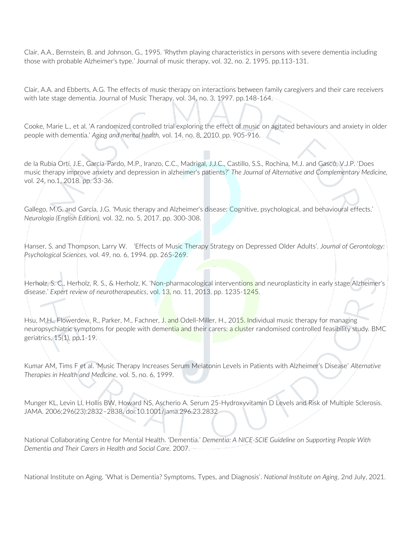Clair, A.A., Bernstein, B. and Johnson, G., 1995. 'Rhythm playing characteristics in persons with severe dementia including those with probable Alzheimer's type.' Journal of music therapy, vol. 32, no. 2, 1995. pp.113-131.

Clair, A.A. and Ebberts, A.G. The effects of music therapy on interactions between family caregivers and their care receivers with late stage dementia. Journal of Music Therapy, vol. 34, no. 3, 1997. pp.148-164.

Cooke, Marie L., et al. 'A randomized controlled trial exploring the effect of music on agitated behaviours and anxiety in older people with dementia.' *Aging and mental health,* vol. 14, no. 8, 2010. pp. 905-916.

de la Rubia Ortí, J.E., García-Pardo, M.P., Iranzo, C.C., Madrigal, J.J.C., Castillo, S.S., Rochina, M.J. and Gascó, V.J.P. 'Does music therapy improve anxiety and depression in alzheimer's patients?' *The Journal of Alternative and Complementary Medicine,* vol. 24, no.1, 2018. pp. 33-36.

Gallego, M.G. and García, J.G. 'Music therapy and Alzheimer's disease: Cognitive, psychological, and behavioural effects.' *Neurología (English Edition),* vol. 32, no. 5, 2017. pp. 300-308.

Hanser, S. and Thompson, Larry W. 'Effects of Music Therapy Strategy on Depressed Older Adults'. *Journal of Gerontology: Psychological Sciences,* vol. 49, no. 6, 1994. pp. 265-269.

Herholz, S. C., Herholz, R. S., & Herholz, K. 'Non-pharmacological interventions and neuroplasticity in early stage Alzheimer's disease.' *Expert review of neurotherapeutics*, vol. 13, no. 11, 2013. pp. 1235-1245.

Hsu, M.H., Flowerdew, R., Parker, M., Fachner, J. and Odell-Miller, H., 2015. Individual music therapy for managing neuropsychiatric symptoms for people with dementia and their carers: a cluster randomised controlled feasibility study. BMC geriatrics, 15(1), pp.1-19.

Kumar AM, Tims F et al. 'Music Therapy Increases Serum Melatonin Levels in Patients with Alzheimer's Disease' *Alternative Therapies in Health and Medicine*, vol. 5, no. 6, 1999.

Munger KL, Levin LI, Hollis BW, Howard NS, Ascherio A. Serum 25-Hydroxyvitamin D Levels and Risk of Multiple Sclerosis. JAMA. 2006;296(23):2832–2838. doi:10.1001/jama.296.23.2832

National Collaborating Centre for Mental Health. 'Dementia.' *Dementia: A NICE-SCIE Guideline on Supporting People With Dementia and Their Carers in Health and Social Care.* 2007.

National Institute on Aging. 'What is Dementia? Symptoms, Types, and Diagnosis'*. National Institute on Aging*, 2nd July, 2021.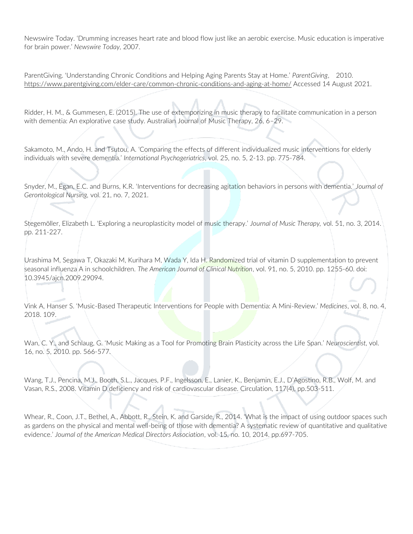Newswire Today. 'Drumming increases heart rate and blood flow just like an aerobic exercise. Music education is imperative for brain power.' *Newswire Today,* 2007.

ParentGiving. 'Understanding Chronic Conditions and Helping Aging Parents Stay at Home.' *ParentGiving*, 2010. <https://www.parentgiving.com/elder-care/common-chronic-conditions-and-aging-at-home/> Accessed 14 August 2021.

Ridder, H. M., & Gummesen, E. (2015). The use of extemporizing in music therapy to facilitate communication in a person with dementia: An explorative case study. Australian Journal of Music Therapy, 26, 6–29.

Sakamoto, M., Ando, H. and Tsutou, A. 'Comparing the effects of different individualized music interventions for elderly individuals with severe dementia.' *International Psychogeriatrics*, vol. 25, no. 5, 2-13. pp. 775-784.

Snyder, M., Egan, E.C. and Burns, K.R. 'Interventions for decreasing agitation behaviors in persons with dementia.' *Journal of Gerontological Nursing,* vol. 21, no. 7, 2021.

Stegemöller, Elizabeth L. 'Exploring a neuroplasticity model of music therapy.' *Journal of Music Therapy,* vol. 51, no. 3, 2014. pp. 211-227.

Urashima M, Segawa T, Okazaki M, Kurihara M, Wada Y, Ida H. Randomized trial of vitamin D supplementation to prevent seasonal influenza A in schoolchildren. *The American Journal of Clinical Nutrition*, vol. 91, no. 5, 2010. pp. 1255-60. doi: 10.3945/ajcn.2009.29094.

Vink A, Hanser S. 'Music-Based Therapeutic Interventions for People with Dementia: A Mini-Review.' *Medicines*, vol. 8, no. 4, 2018. 109.

Wan, C. Y., and Schlaug, G. 'Music Making as a Tool for Promoting Brain Plasticity across the Life Span.' *Neuroscientist,* vol. 16, no. 5, 2010. pp. 566-577.

Wang, T.J., Pencina, M.J., Booth, S.L., Jacques, P.F., Ingelsson, E., Lanier, K., Benjamin, E.J., D'Agostino, R.B., Wolf, M. and Vasan, R.S., 2008. Vitamin D deficiency and risk of cardiovascular disease. Circulation, 117(4), pp.503-511.

Whear, R., Coon, J.T., Bethel, A., Abbott, R., Stein, K. and Garside, R., 2014. 'What is the impact of using outdoor spaces such as gardens on the physical and mental well-being of those with dementia? A systematic review of quantitative and qualitative evidence.' *Journal of the American Medical Directors Association*, vol. 15, no. 10, 2014. pp.697-705.